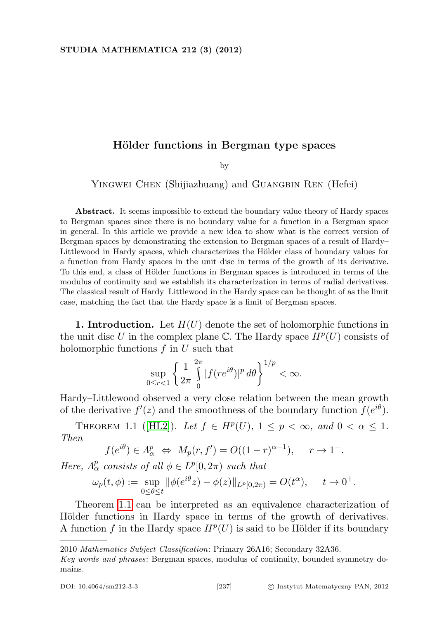## Hölder functions in Bergman type spaces

by

YINGWEI CHEN (Shijiazhuang) and GUANGBIN REN (Hefei)

Abstract. It seems impossible to extend the boundary value theory of Hardy spaces to Bergman spaces since there is no boundary value for a function in a Bergman space in general. In this article we provide a new idea to show what is the correct version of Bergman spaces by demonstrating the extension to Bergman spaces of a result of Hardy– Littlewood in Hardy spaces, which characterizes the Hölder class of boundary values for a function from Hardy spaces in the unit disc in terms of the growth of its derivative. To this end, a class of Hölder functions in Bergman spaces is introduced in terms of the modulus of continuity and we establish its characterization in terms of radial derivatives. The classical result of Hardy–Littlewood in the Hardy space can be thought of as the limit case, matching the fact that the Hardy space is a limit of Bergman spaces.

**1. Introduction.** Let  $H(U)$  denote the set of holomorphic functions in the unit disc U in the complex plane  $\mathbb{C}$ . The Hardy space  $H^p(U)$  consists of holomorphic functions  $f$  in  $U$  such that

$$
\sup_{0\leq r<1}\left\{\frac{1}{2\pi}\int\limits_{0}^{2\pi}|f(re^{i\theta})|^p\,d\theta\right\}^{1/p}<\infty.
$$

Hardy–Littlewood observed a very close relation between the mean growth of the derivative  $f'(z)$  and the smoothness of the boundary function  $f(e^{i\theta})$ .

<span id="page-0-0"></span>THEOREM 1.1 ([\[HL2\]](#page-20-0)). Let  $f \in H^p(U)$ ,  $1 \leq p < \infty$ , and  $0 < \alpha \leq 1$ . Then

$$
f(e^{i\theta}) \in A_{\alpha}^p \Leftrightarrow M_p(r, f') = O((1-r)^{\alpha-1}), \quad r \to 1^-.
$$

Here,  $\Lambda^p_\alpha$  consists of all  $\phi \in L^p[0, 2\pi)$  such that

$$
\omega_p(t,\phi) := \sup_{0 \le \theta \le t} \|\phi(e^{i\theta}z) - \phi(z)\|_{L^p[0,2\pi)} = O(t^{\alpha}), \quad t \to 0^+.
$$

Theorem [1.1](#page-0-0) can be interpreted as an equivalence characterization of Hölder functions in Hardy space in terms of the growth of derivatives. A function f in the Hardy space  $H^p(U)$  is said to be Hölder if its boundary

<sup>2010</sup> Mathematics Subject Classification: Primary 26A16; Secondary 32A36.

Key words and phrases: Bergman spaces, modulus of continuity, bounded symmetry domains.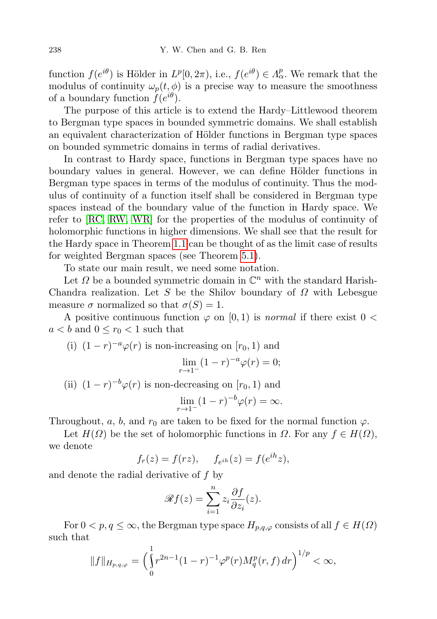function  $f(e^{i\theta})$  is Hölder in  $L^p[0, 2\pi)$ , i.e.,  $f(e^{i\theta}) \in \Lambda^p_\alpha$ . We remark that the modulus of continuity  $\omega_p(t, \phi)$  is a precise way to measure the smoothness of a boundary function  $f(e^{i\theta})$ .

The purpose of this article is to extend the Hardy–Littlewood theorem to Bergman type spaces in bounded symmetric domains. We shall establish an equivalent characterization of Hölder functions in Bergman type spaces on bounded symmetric domains in terms of radial derivatives.

In contrast to Hardy space, functions in Bergman type spaces have no boundary values in general. However, we can define Hölder functions in Bergman type spaces in terms of the modulus of continuity. Thus the modulus of continuity of a function itself shall be considered in Bergman type spaces instead of the boundary value of the function in Hardy space. We refer to [\[RC,](#page-21-0) [RW,](#page-21-1) [WR\]](#page-21-2) for the properties of the modulus of continuity of holomorphic functions in higher dimensions. We shall see that the result for the Hardy space in Theorem [1.1](#page-0-0) can be thought of as the limit case of results for weighted Bergman spaces (see Theorem [5.1\)](#page-19-0).

To state our main result, we need some notation.

Let  $\Omega$  be a bounded symmetric domain in  $\mathbb{C}^n$  with the standard Harish-Chandra realization. Let S be the Shilov boundary of  $\Omega$  with Lebesgue measure  $\sigma$  normalized so that  $\sigma(S) = 1$ .

A positive continuous function  $\varphi$  on [0, 1) is normal if there exist  $0 <$  $a < b$  and  $0 \le r_0 < 1$  such that

(i) 
$$
(1 - r)^{-a} \varphi(r)
$$
 is non-increasing on  $[r_0, 1)$  and  
\n
$$
\lim_{r \to 1^-} (1 - r)^{-a} \varphi(r) = 0;
$$
\n(ii)  $(1 - r)^{-b} \varphi(r)$  is zero decreasing on  $[r_0, 1)$  and

(ii)  $(1 - r)^{-b}\varphi(r)$  is non-decreasing on  $[r_0, 1)$  and

$$
\lim_{r \to 1^-} (1-r)^{-b} \varphi(r) = \infty.
$$

Throughout, a, b, and  $r_0$  are taken to be fixed for the normal function  $\varphi$ .

Let  $H(\Omega)$  be the set of holomorphic functions in  $\Omega$ . For any  $f \in H(\Omega)$ , we denote

$$
f_r(z) = f(rz), \quad f_{e^{ih}}(z) = f(e^{ih}z),
$$

and denote the radial derivative of f by

$$
\mathscr{R}f(z) = \sum_{i=1}^{n} z_i \frac{\partial f}{\partial z_i}(z).
$$

For  $0 < p, q \leq \infty$ , the Bergman type space  $H_{p,q,\varphi}$  consists of all  $f \in H(\Omega)$ such that

$$
||f||_{H_{p,q,\varphi}} = \left(\int_0^1 r^{2n-1} (1-r)^{-1} \varphi^p(r) M_q^p(r,f) \, dr\right)^{1/p} < \infty,
$$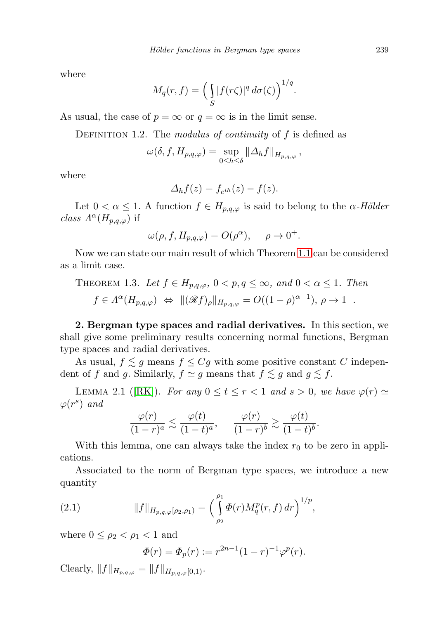where

$$
M_q(r,f) = \left(\int_S |f(r\zeta)|^q d\sigma(\zeta)\right)^{1/q}.
$$

As usual, the case of  $p = \infty$  or  $q = \infty$  is in the limit sense.

DEFINITION 1.2. The modulus of continuity of f is defined as

$$
\omega(\delta, f, H_{p,q,\varphi}) = \sup_{0 \le h \le \delta} ||\Delta_h f||_{H_{p,q,\varphi}},
$$

where

$$
\Delta_h f(z) = f_{e^{ih}}(z) - f(z).
$$

Let  $0 < \alpha \leq 1$ . A function  $f \in H_{p,q,\varphi}$  is said to belong to the  $\alpha$ -Hölder class  $\Lambda^{\alpha}(H_{p,q,\varphi})$  if

$$
\omega(\rho, f, H_{p,q,\varphi}) = O(\rho^{\alpha}), \quad \rho \to 0^{+}.
$$

Now we can state our main result of which Theorem [1.1](#page-0-0) can be considered as a limit case.

<span id="page-2-2"></span>THEOREM 1.3. Let 
$$
f \in H_{p,q,\varphi}
$$
,  $0 < p, q \le \infty$ , and  $0 < \alpha \le 1$ . Then  
\n $f \in \Lambda^{\alpha}(H_{p,q,\varphi}) \iff ||(\mathscr{R}f)_{\rho}||_{H_{p,q,\varphi}} = O((1-\rho)^{\alpha-1}), \rho \to 1^{-}.$ 

2. Bergman type spaces and radial derivatives. In this section, we shall give some preliminary results concerning normal functions, Bergman type spaces and radial derivatives.

As usual,  $f \lesssim g$  means  $f \leq Cg$  with some positive constant C independent of f and g. Similarly,  $f \simeq g$  means that  $f \lesssim g$  and  $g \lesssim f$ .

<span id="page-2-1"></span>LEMMA 2.1 ([\[RK\]](#page-21-3)). For any  $0 \le t \le r < 1$  and  $s > 0$ , we have  $\varphi(r) \simeq$  $\varphi(r^s)$  and

$$
\frac{\varphi(r)}{(1-r)^a} \lesssim \frac{\varphi(t)}{(1-t)^a}, \qquad \frac{\varphi(r)}{(1-r)^b} \gtrsim \frac{\varphi(t)}{(1-t)^b}.
$$

With this lemma, one can always take the index  $r_0$  to be zero in applications.

Associated to the norm of Bergman type spaces, we introduce a new quantity

(2.1) 
$$
||f||_{H_{p,q,\varphi}[\rho_2,\rho_1)} = \left(\int\limits_{\rho_2}^{\rho_1} \Phi(r) M_q^p(r,f) dr\right)^{1/p},
$$

where  $0 \leq \rho_2 < \rho_1 < 1$  and

$$
\Phi(r) = \Phi_p(r) := r^{2n-1}(1-r)^{-1}\varphi^p(r).
$$

<span id="page-2-0"></span>Clearly,  $||f||_{H_{p,q,\varphi}} = ||f||_{H_{p,q,\varphi}[0,1)}$ .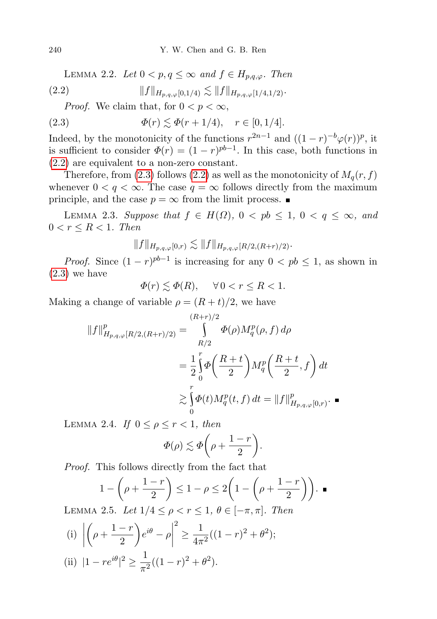LEMMA 2.2. Let  $0 < p, q \leq \infty$  and  $f \in H_{n,q,\varphi}$ . Then

(2.2) kfkHp,q,ϕ[0,1/4) . kfkHp,q,ϕ[1/4,1/2).

<span id="page-3-1"></span><span id="page-3-0"></span>*Proof.* We claim that, for  $0 < p < \infty$ ,

(2.3) 
$$
\Phi(r) \lesssim \Phi(r+1/4), \quad r \in [0, 1/4].
$$

Indeed, by the monotonicity of the functions  $r^{2n-1}$  and  $((1 - r)^{-b}\varphi(r))^p$ , it is sufficient to consider  $\Phi(r) = (1 - r)^{pb-1}$ . In this case, both functions in [\(2.2\)](#page-3-0) are equivalent to a non-zero constant.

Therefore, from [\(2.3\)](#page-3-1) follows [\(2.2\)](#page-3-0) as well as the monotonicity of  $M_q(r, f)$ whenever  $0 < q < \infty$ . The case  $q = \infty$  follows directly from the maximum principle, and the case  $p = \infty$  from the limit process.

<span id="page-3-4"></span>LEMMA 2.3. Suppose that  $f \in H(\Omega)$ ,  $0 < pb \leq 1$ ,  $0 < q \leq \infty$ , and  $0 < r \leq R < 1$ . Then

$$
||f||_{H_{p,q,\varphi}[0,r)} \lesssim ||f||_{H_{p,q,\varphi}[R/2,(R+r)/2)}.
$$

*Proof.* Since  $(1 - r)^{pb-1}$  is increasing for any  $0 < pb \le 1$ , as shown in  $(2.3)$  we have

$$
\varPhi(r)\lesssim \varPhi(R),\quad \ \forall\, 0
$$

Making a change of variable  $\rho = (R + t)/2$ , we have

$$
||f||_{H_{p,q,\varphi}[R/2,(R+r)/2)}^{p} = \int_{R/2}^{(R+r)/2} \Phi(\rho) M_{q}^{p}(\rho, f) d\rho
$$
  
=  $\frac{1}{2} \int_{0}^{r} \Phi\left(\frac{R+t}{2}\right) M_{q}^{p} \left(\frac{R+t}{2}, f\right) dt$   
 $\geq \int_{0}^{r} \Phi(t) M_{q}^{p}(t, f) dt = ||f||_{H_{p,q,\varphi}[0,r)}^{p}.$ 

<span id="page-3-3"></span>LEMMA 2.4. If  $0 \leq \rho \leq r < 1$ , then

$$
\Phi(\rho) \lesssim \Phi\bigg(\rho + \frac{1-r}{2}\bigg).
$$

Proof. This follows directly from the fact that

$$
1 - \left(\rho + \frac{1-r}{2}\right) \le 1 - \rho \le 2\left(1 - \left(\rho + \frac{1-r}{2}\right)\right). \blacksquare
$$

<span id="page-3-2"></span>LEMMA 2.5. Let  $1/4 \leq \rho < r \leq 1, \theta \in [-\pi, \pi]$ . Then

(i) 
$$
\left| \left( \rho + \frac{1-r}{2} \right) e^{i\theta} - \rho \right|^2 \ge \frac{1}{4\pi^2} ((1-r)^2 + \theta^2);
$$
  
\n(ii)  $|1 - re^{i\theta}|^2 \ge \frac{1}{\pi^2} ((1-r)^2 + \theta^2).$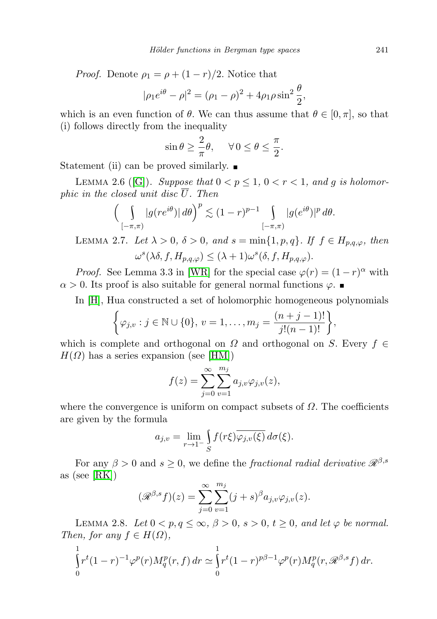*Proof.* Denote  $\rho_1 = \rho + (1 - r)/2$ . Notice that

$$
|\rho_1 e^{i\theta} - \rho|^2 = (\rho_1 - \rho)^2 + 4\rho_1 \rho \sin^2 \frac{\theta}{2},
$$

which is an even function of  $\theta$ . We can thus assume that  $\theta \in [0, \pi]$ , so that (i) follows directly from the inequality

$$
\sin \theta \ge \frac{2}{\pi} \theta, \quad \forall 0 \le \theta \le \frac{\pi}{2}.
$$

Statement (ii) can be proved similarly.  $\blacksquare$ 

<span id="page-4-1"></span>LEMMA 2.6 ([\[G\]](#page-20-1)). Suppose that  $0 < p \leq 1$ ,  $0 < r < 1$ , and g is holomorphic in the closed unit disc  $\overline{U}$ . Then

$$
\left(\int\limits_{[-\pi,\pi)}|g(re^{i\theta})|\,d\theta\right)^p \lesssim (1-r)^{p-1}\int\limits_{[-\pi,\pi)}|g(e^{i\theta})|^p\,d\theta.
$$

<span id="page-4-2"></span>LEMMA 2.7. Let  $\lambda > 0$ ,  $\delta > 0$ , and  $s = \min\{1, p, q\}$ . If  $f \in H_{p,q,\varphi}$ , then  $\omega^s(\lambda \delta, f, H_{p,q,\varphi}) \leq (\lambda + 1) \omega^s(\delta, f, H_{p,q,\varphi}).$ 

*Proof.* See Lemma 3.3 in [\[WR\]](#page-21-2) for the special case  $\varphi(r) = (1 - r)^{\alpha}$  with  $\alpha > 0$ . Its proof is also suitable for general normal functions  $\varphi$ .

In [\[H\]](#page-20-2), Hua constructed a set of holomorphic homogeneous polynomials

$$
\left\{\varphi_{j,v} : j \in \mathbb{N} \cup \{0\}, v = 1, \dots, m_j = \frac{(n+j-1)!}{j!(n-1)!}\right\},\
$$

which is complete and orthogonal on  $\Omega$  and orthogonal on S. Every  $f \in$  $H(\Omega)$  has a series expansion (see [\[HM\]](#page-20-3))

$$
f(z) = \sum_{j=0}^{\infty} \sum_{v=1}^{m_j} a_{j,v} \varphi_{j,v}(z),
$$

where the convergence is uniform on compact subsets of  $\Omega$ . The coefficients are given by the formula

$$
a_{j,v} = \lim_{r \to 1^-} \int_S f(r\xi) \overline{\varphi_{j,v}(\xi)} d\sigma(\xi).
$$

For any  $\beta > 0$  and  $s \geq 0$ , we define the fractional radial derivative  $\mathcal{R}^{\beta,s}$ as (see [\[RK\]](#page-21-3))

$$
(\mathcal{R}^{\beta,s}f)(z) = \sum_{j=0}^{\infty} \sum_{v=1}^{m_j} (j+s)^{\beta} a_{j,v} \varphi_{j,v}(z).
$$

<span id="page-4-0"></span>LEMMA 2.8. Let  $0 < p, q \le \infty, \beta > 0, s > 0, t \ge 0, \text{ and let } \varphi$  be normal. Then, for any  $f \in H(\Omega)$ ,

$$
\int_{0}^{1} r^{t} (1-r)^{-1} \varphi^{p}(r) M_{q}^{p}(r, f) dr \simeq \int_{0}^{1} r^{t} (1-r)^{p\beta-1} \varphi^{p}(r) M_{q}^{p}(r, \mathcal{R}^{\beta,s} f) dr.
$$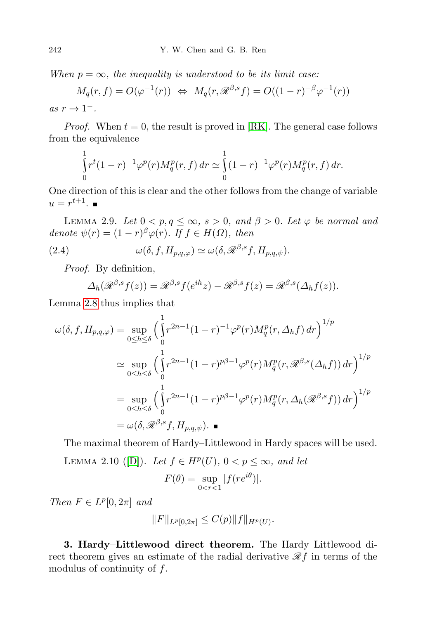When  $p = \infty$ , the inequality is understood to be its limit case:

$$
M_q(r, f) = O(\varphi^{-1}(r)) \iff M_q(r, \mathcal{R}^{\beta, s} f) = O((1 - r)^{-\beta} \varphi^{-1}(r))
$$
  
\n
$$
\to 1^-
$$

as  $r \to 1^-$ .

*Proof.* When  $t = 0$ , the result is proved in [\[RK\]](#page-21-3). The general case follows from the equivalence

$$
\int_{0}^{1} r^{t} (1-r)^{-1} \varphi^{p}(r) M_{q}^{p}(r, f) dr \simeq \int_{0}^{1} (1-r)^{-1} \varphi^{p}(r) M_{q}^{p}(r, f) dr.
$$

One direction of this is clear and the other follows from the change of variable  $u = r^{t+1}.$ 

<span id="page-5-1"></span>LEMMA 2.9. Let  $0 < p, q \le \infty$ ,  $s > 0$ , and  $\beta > 0$ . Let  $\varphi$  be normal and denote  $\psi(r) = (1 - r)^{\beta} \varphi(r)$ . If  $f \in H(\Omega)$ , then

(2.4) 
$$
\omega(\delta, f, H_{p,q,\varphi}) \simeq \omega(\delta, \mathscr{R}^{\beta,s}f, H_{p,q,\psi}).
$$

Proof. By definition,

<span id="page-5-2"></span>
$$
\Delta_h(\mathcal{R}^{\beta,s}f(z)) = \mathcal{R}^{\beta,s}f(e^{ih}z) - \mathcal{R}^{\beta,s}f(z) = \mathcal{R}^{\beta,s}(\Delta_h f(z)).
$$

Lemma [2.8](#page-4-0) thus implies that

$$
\omega(\delta, f, H_{p,q,\varphi}) = \sup_{0 \le h \le \delta} \left( \int_0^1 r^{2n-1} (1-r)^{-1} \varphi^p(r) M_q^p(r, \Delta_h f) dr \right)^{1/p}
$$
  
\n
$$
\simeq \sup_{0 \le h \le \delta} \left( \int_0^1 r^{2n-1} (1-r)^{p\beta - 1} \varphi^p(r) M_q^p(r, \mathcal{R}^{\beta, s}(\Delta_h f)) dr \right)^{1/p}
$$
  
\n
$$
= \sup_{0 \le h \le \delta} \left( \int_0^1 r^{2n-1} (1-r)^{p\beta - 1} \varphi^p(r) M_q^p(r, \Delta_h(\mathcal{R}^{\beta, s} f)) dr \right)^{1/p}
$$
  
\n
$$
= \omega(\delta, \mathcal{R}^{\beta, s} f, H_{p,q,\psi}).
$$

The maximal theorem of Hardy–Littlewood in Hardy spaces will be used.

<span id="page-5-3"></span>LEMMA 2.10 ([\[D\]](#page-20-4)). Let  $f \in H^p(U)$ ,  $0 < p \leq \infty$ , and let  $F(\theta) = \sup$  $0 < r < 1$  $|f(re^{i\theta})|.$ 

Then  $F \in L^p[0, 2\pi]$  and

$$
||F||_{L^p[0,2\pi]} \leq C(p)||f||_{H^p(U)}.
$$

<span id="page-5-0"></span>3. Hardy–Littlewood direct theorem. The Hardy–Littlewood direct theorem gives an estimate of the radial derivative  $\mathcal{R}f$  in terms of the modulus of continuity of  $f$ .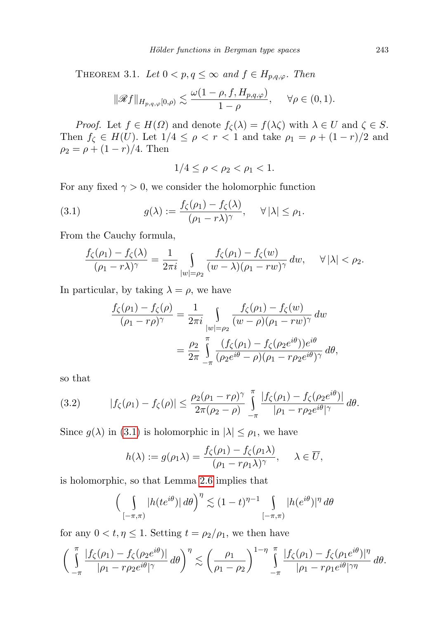THEOREM 3.1. Let  $0 < p, q \leq \infty$  and  $f \in H_{p,q,\varphi}$ . Then

$$
\|\mathscr{R}f\|_{H_{p,q,\varphi}[0,\rho)} \lesssim \frac{\omega(1-\rho,f,H_{p,q,\varphi})}{1-\rho}, \quad \forall \rho \in (0,1).
$$

*Proof.* Let  $f \in H(\Omega)$  and denote  $f_{\zeta}(\lambda) = f(\lambda \zeta)$  with  $\lambda \in U$  and  $\zeta \in S$ . Then  $f_{\zeta} \in H(U)$ . Let  $1/4 \leq \rho < r < 1$  and take  $\rho_1 = \rho + (1 - r)/2$  and  $\rho_2 = \rho + (1 - r)/4$ . Then

<span id="page-6-0"></span>
$$
1/4 \le \rho < \rho_2 < \rho_1 < 1.
$$

For any fixed  $\gamma > 0$ , we consider the holomorphic function

(3.1) 
$$
g(\lambda) := \frac{f_{\zeta}(\rho_1) - f_{\zeta}(\lambda)}{(\rho_1 - r\lambda)^{\gamma}}, \quad \forall |\lambda| \le \rho_1.
$$

From the Cauchy formula,

$$
\frac{f_{\zeta}(\rho_1) - f_{\zeta}(\lambda)}{(\rho_1 - r\lambda)^{\gamma}} = \frac{1}{2\pi i} \int_{|w| = \rho_2} \frac{f_{\zeta}(\rho_1) - f_{\zeta}(w)}{(w - \lambda)(\rho_1 - rw)^{\gamma}} dw, \quad \forall |\lambda| < \rho_2.
$$

In particular, by taking  $\lambda = \rho$ , we have

$$
\frac{f_{\zeta}(\rho_1) - f_{\zeta}(\rho)}{(\rho_1 - r\rho)^{\gamma}} = \frac{1}{2\pi i} \int_{|w| = \rho_2} \frac{f_{\zeta}(\rho_1) - f_{\zeta}(w)}{(w - \rho)(\rho_1 - rw)^{\gamma}} dw
$$

$$
= \frac{\rho_2}{2\pi} \int_{-\pi}^{\pi} \frac{(f_{\zeta}(\rho_1) - f_{\zeta}(\rho_2 e^{i\theta}))e^{i\theta}}{(\rho_2 e^{i\theta} - \rho)(\rho_1 - r\rho_2 e^{i\theta})^{\gamma}} d\theta,
$$

so that

<span id="page-6-1"></span>(3.2) 
$$
|f_{\zeta}(\rho_1) - f_{\zeta}(\rho)| \leq \frac{\rho_2(\rho_1 - r\rho)^{\gamma}}{2\pi(\rho_2 - \rho)} \int_{-\pi}^{\pi} \frac{|f_{\zeta}(\rho_1) - f_{\zeta}(\rho_2 e^{i\theta})|}{|\rho_1 - r\rho_2 e^{i\theta}|^{\gamma}} d\theta.
$$

Since  $g(\lambda)$  in [\(3.1\)](#page-6-0) is holomorphic in  $|\lambda| \leq \rho_1$ , we have

$$
h(\lambda) := g(\rho_1 \lambda) = \frac{f_{\zeta}(\rho_1) - f_{\zeta}(\rho_1 \lambda)}{(\rho_1 - r \rho_1 \lambda)^{\gamma}}, \quad \lambda \in \overline{U},
$$

is holomorphic, so that Lemma [2.6](#page-4-1) implies that

$$
\left(\int\limits_{[-\pi,\pi)} |h(te^{i\theta})| \, d\theta\right)^{\eta} \lesssim (1-t)^{\eta-1} \int\limits_{[-\pi,\pi)} |h(e^{i\theta})|^{\eta} \, d\theta
$$

for any  $0 < t, \eta \leq 1$ . Setting  $t = \rho_2/\rho_1$ , we then have

$$
\bigg(\int_{-\pi}^{\pi} \frac{|f_{\zeta}(\rho_1)-f_{\zeta}(\rho_2 e^{i\theta})|}{|\rho_1 - r\rho_2 e^{i\theta}|^{\gamma}} d\theta\bigg)^{\eta} \lesssim \bigg(\frac{\rho_1}{\rho_1 - \rho_2}\bigg)^{1-\eta} \int_{-\pi}^{\pi} \frac{|f_{\zeta}(\rho_1)-f_{\zeta}(\rho_1 e^{i\theta})|^{\eta}}{|\rho_1 - r\rho_1 e^{i\theta}|^{\gamma\eta}} d\theta.
$$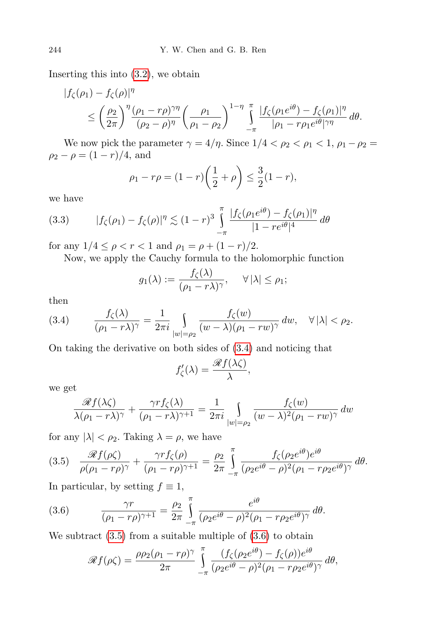Inserting this into [\(3.2\)](#page-6-1), we obtain

$$
|f_{\zeta}(\rho_1) - f_{\zeta}(\rho)|^{\eta}
$$
  
\n
$$
\leq \left(\frac{\rho_2}{2\pi}\right)^{\eta} \frac{(\rho_1 - r\rho)^{\gamma\eta}}{(\rho_2 - \rho)^{\eta}} \left(\frac{\rho_1}{\rho_1 - \rho_2}\right)^{1-\eta} \int\limits_{-\pi}^{\pi} \frac{|f_{\zeta}(\rho_1 e^{i\theta}) - f_{\zeta}(\rho_1)|^{\eta}}{|\rho_1 - r\rho_1 e^{i\theta}|^{\gamma\eta}} d\theta.
$$

We now pick the parameter  $\gamma = 4/\eta$ . Since  $1/4 < \rho_2 < \rho_1 < 1$ ,  $\rho_1 - \rho_2 =$  $\rho_2 - \rho = (1 - r)/4$ , and

$$
\rho_1 - r\rho = (1 - r)\left(\frac{1}{2} + \rho\right) \le \frac{3}{2}(1 - r),
$$

we have

<span id="page-7-3"></span>(3.3) 
$$
|f_{\zeta}(\rho_1) - f_{\zeta}(\rho)|^{\eta} \lesssim (1-r)^3 \int_{-\pi}^{\pi} \frac{|f_{\zeta}(\rho_1 e^{i\theta}) - f_{\zeta}(\rho_1)|^{\eta}}{|1 - re^{i\theta}|^4} d\theta
$$

for any  $1/4 \leq \rho < r < 1$  and  $\rho_1 = \rho + (1 - r)/2$ .

Now, we apply the Cauchy formula to the holomorphic function

$$
g_1(\lambda) := \frac{f_{\zeta}(\lambda)}{(\rho_1 - r\lambda)^{\gamma}}, \quad \forall |\lambda| \le \rho_1;
$$

then

<span id="page-7-0"></span>
$$
(3.4) \qquad \frac{f_{\zeta}(\lambda)}{(\rho_1 - r\lambda)^{\gamma}} = \frac{1}{2\pi i} \int_{|w| = \rho_2} \frac{f_{\zeta}(w)}{(w - \lambda)(\rho_1 - rw)^{\gamma}} dw, \quad \forall |\lambda| < \rho_2.
$$

On taking the derivative on both sides of [\(3.4\)](#page-7-0) and noticing that

$$
f'_{\zeta}(\lambda) = \frac{\mathscr{R}f(\lambda\zeta)}{\lambda},
$$

we get

$$
\frac{\mathscr{R}f(\lambda\zeta)}{\lambda(\rho_1 - r\lambda)^{\gamma}} + \frac{\gamma r f_{\zeta}(\lambda)}{(\rho_1 - r\lambda)^{\gamma+1}} = \frac{1}{2\pi i} \int_{|w| = \rho_2} \frac{f_{\zeta}(w)}{(w - \lambda)^2 (\rho_1 - rw)^{\gamma}} dw
$$

for any  $|\lambda| < \rho_2$ . Taking  $\lambda = \rho$ , we have

<span id="page-7-1"></span>
$$
(3.5) \quad \frac{\mathscr{R}f(\rho\zeta)}{\rho(\rho_1 - r\rho)^{\gamma}} + \frac{\gamma r f_{\zeta}(\rho)}{(\rho_1 - r\rho)^{\gamma+1}} = \frac{\rho_2}{2\pi} \int_{-\pi}^{\pi} \frac{f_{\zeta}(\rho_2 e^{i\theta}) e^{i\theta}}{(\rho_2 e^{i\theta} - \rho)^2 (\rho_1 - r\rho_2 e^{i\theta})^{\gamma}} d\theta.
$$

In particular, by setting  $f \equiv 1$ ,

(3.6) 
$$
\frac{\gamma r}{(\rho_1 - r\rho)^{\gamma+1}} = \frac{\rho_2}{2\pi} \int_{-\pi}^{\pi} \frac{e^{i\theta}}{(\rho_2 e^{i\theta} - \rho)^2 (\rho_1 - r\rho_2 e^{i\theta})^{\gamma}} d\theta.
$$

We subtract  $(3.5)$  from a suitable multiple of  $(3.6)$  to obtain

<span id="page-7-2"></span>
$$
\mathscr{R}f(\rho\zeta) = \frac{\rho\rho_2(\rho_1 - r\rho)^\gamma}{2\pi} \int_{-\pi}^{\pi} \frac{(f_\zeta(\rho_2 e^{i\theta}) - f_\zeta(\rho))e^{i\theta}}{(\rho_2 e^{i\theta} - \rho)^2(\rho_1 - r\rho_2 e^{i\theta})^\gamma} d\theta,
$$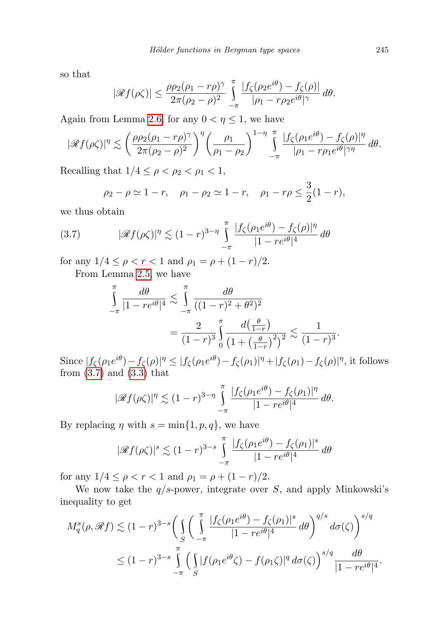so that

$$
|\mathscr{R}f(\rho\zeta)| \leq \frac{\rho\rho_2(\rho_1 - r\rho)^\gamma}{2\pi(\rho_2 - \rho)^2} \int\limits_{-\pi}^{\pi} \frac{|f_{\zeta}(\rho_2 e^{i\theta}) - f_{\zeta}(\rho)|}{|\rho_1 - r\rho_2 e^{i\theta}|^\gamma} d\theta.
$$

Again from Lemma [2.6,](#page-4-1) for any  $0 < \eta \leq 1$ , we have

$$
|\mathscr{R}f(\rho\zeta)|^{\eta} \lesssim \left(\frac{\rho\rho_2(\rho_1-r\rho)^{\gamma}}{2\pi(\rho_2-\rho)^2}\right)^{\eta} \left(\frac{\rho_1}{\rho_1-\rho_2}\right)^{1-\eta} \int\limits_{-\pi}^{\pi} \frac{|f_{\zeta}(\rho_1e^{i\theta}) - f_{\zeta}(\rho)|^{\eta}}{|\rho_1-r\rho_1e^{i\theta}|^{\gamma\eta}} d\theta.
$$

Recalling that  $1/4 \leq \rho < \rho_2 < \rho_1 < 1$ ,

<span id="page-8-0"></span>
$$
\rho_2 - \rho \simeq 1 - r
$$
,  $\rho_1 - \rho_2 \simeq 1 - r$ ,  $\rho_1 - r\rho \leq \frac{3}{2}(1 - r)$ ,

we thus obtain

(3.7) 
$$
|\mathscr{R}f(\rho\zeta)|^{\eta} \lesssim (1-r)^{3-\eta} \int_{-\pi}^{\pi} \frac{|f_{\zeta}(\rho_1 e^{i\theta}) - f_{\zeta}(\rho)|^{\eta}}{|1 - re^{i\theta}|^4} d\theta
$$

for any  $1/4 \le \rho < r < 1$  and  $\rho_1 = \rho + (1 - r)/2$ .

From Lemma [2.5,](#page-3-2) we have

$$
\int_{-\pi}^{\pi} \frac{d\theta}{|1 - re^{i\theta}|^4} \lesssim \int_{-\pi}^{\pi} \frac{d\theta}{((1 - r)^2 + \theta^2)^2}
$$
\n
$$
= \frac{2}{(1 - r)^3} \int_{0}^{\pi} \frac{d(\frac{\theta}{1 - r})}{(1 + (\frac{\theta}{1 - r})^2)^2} \lesssim \frac{1}{(1 - r)^3}
$$

Since  $|f_\zeta(\rho_1 e^{i\theta}) - f_\zeta(\rho)|^{\eta} \leq |f_\zeta(\rho_1 e^{i\theta}) - f_\zeta(\rho_1)|^{\eta} + |f_\zeta(\rho_1) - f_\zeta(\rho)|^{\eta}$ , it follows from  $(3.7)$  and  $(3.3)$  that

$$
|\mathscr{R}f(\rho\zeta)|^{\eta} \lesssim (1-r)^{3-\eta} \int\limits_{-\pi}^{\pi} \frac{|f_{\zeta}(\rho_1 e^{i\theta}) - f_{\zeta}(\rho_1)|^{\eta}}{|1 - re^{i\theta}|^4} d\theta.
$$

By replacing  $\eta$  with  $s = \min\{1, p, q\}$ , we have

$$
|\mathcal{R}f(\rho\zeta)|^s \lesssim (1-r)^{3-s} \int_{-\pi}^{\pi} \frac{|f_{\zeta}(\rho_1 e^{i\theta}) - f_{\zeta}(\rho_1)|^s}{|1 - re^{i\theta}|^4} d\theta
$$

for any  $1/4 \le \rho < r < 1$  and  $\rho_1 = \rho + (1 - r)/2$ .

We now take the  $q/s$ -power, integrate over S, and apply Minkowski's inequality to get

$$
M_q^s(\rho, \mathcal{R}f) \lesssim (1-r)^{3-s} \bigg( \int_S \bigg( \int_{-\pi}^{\pi} \frac{|f_\zeta(\rho_1 e^{i\theta}) - f_\zeta(\rho_1)|^s}{|1 - re^{i\theta}|^4} d\theta \bigg)^{q/s} d\sigma(\zeta) \bigg)^{s/q}
$$
  

$$
\leq (1-r)^{3-s} \int_{-\pi}^{\pi} \bigg( \int_S |f(\rho_1 e^{i\theta} \zeta) - f(\rho_1 \zeta)|^q d\sigma(\zeta) \bigg)^{s/q} \frac{d\theta}{|1 - re^{i\theta}|^4}.
$$

.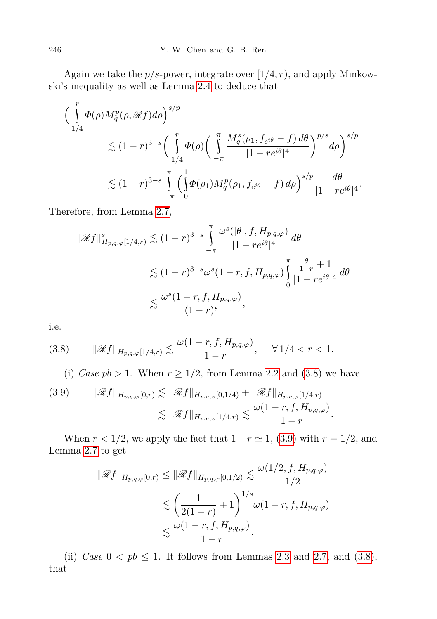Again we take the  $p/s$ -power, integrate over  $(1/4, r)$ , and apply Minkowski's inequality as well as Lemma [2.4](#page-3-3) to deduce that

$$
\begin{aligned}\n&\Big(\int_{1/4}^r \Phi(\rho) M_q^p(\rho, \mathscr{R}f) d\rho\Big)^{s/p} \\
&\lesssim (1-r)^{3-s} \bigg(\int_{1/4}^r \Phi(\rho) \bigg(\int_{-\pi}^{\pi} \frac{M_q^s(\rho_1, f_{e^{i\theta}} - f) d\theta}{|1 - re^{i\theta}|^4}\bigg)^{p/s} d\rho\bigg)^{s/p} \\
&\lesssim (1-r)^{3-s} \int_{-\pi}^{\pi} \bigg(\int_{0}^{1} \Phi(\rho_1) M_q^p(\rho_1, f_{e^{i\theta}} - f) d\rho\bigg)^{s/p} \frac{d\theta}{|1 - re^{i\theta}|^4}.\n\end{aligned}
$$

Therefore, from Lemma [2.7,](#page-4-2)

$$
\|\mathscr{R}f\|_{H_{p,q,\varphi}[1/4,r)}^s \lesssim (1-r)^{3-s} \int_{-\pi}^{\pi} \frac{\omega^s(|\theta|, f, H_{p,q,\varphi})}{|1-re^{i\theta}|^4} d\theta
$$
  

$$
\lesssim (1-r)^{3-s} \omega^s (1-r, f, H_{p,q,\varphi}) \int_{0}^{\pi} \frac{\frac{\theta}{1-r} + 1}{|1-re^{i\theta}|^4} d\theta
$$
  

$$
\lesssim \frac{\omega^s (1-r, f, H_{p,q,\varphi})}{(1-r)^s},
$$

i.e.

$$
(3.8) \t\t ||\mathscr{R}f||_{H_{p,q,\varphi}[1/4,r)} \lesssim \frac{\omega(1-r,f,H_{p,q,\varphi})}{1-r}, \quad \forall \, 1/4 < r < 1.
$$

<span id="page-9-0"></span>(i) Case  $pb > 1$ . When  $r \geq 1/2$ , from Lemma [2.2](#page-2-0) and [\(3.8\)](#page-9-0) we have

$$
(3.9) \qquad \|\mathscr{R}f\|_{H_{p,q,\varphi}[0,r)} \lesssim \|\mathscr{R}f\|_{H_{p,q,\varphi}[0,1/4)} + \|\mathscr{R}f\|_{H_{p,q,\varphi}[1/4,r)}
$$

$$
\lesssim \|\mathscr{R}f\|_{H_{p,q,\varphi}[1/4,r)} \lesssim \frac{\omega(1-r,f,H_{p,q,\varphi})}{1-r}
$$

When  $r < 1/2$ , we apply the fact that  $1 - r \approx 1$ , [\(3.9\)](#page-9-0) with  $r = 1/2$ , and Lemma [2.7](#page-4-2) to get

.

$$
\|\mathscr{R}f\|_{H_{p,q,\varphi}[0,r)} \leq \|\mathscr{R}f\|_{H_{p,q,\varphi}[0,1/2)} \lesssim \frac{\omega(1/2, f, H_{p,q,\varphi})}{1/2}
$$

$$
\lesssim \left(\frac{1}{2(1-r)} + 1\right)^{1/s} \omega(1-r, f, H_{p,q,\varphi})
$$

$$
\lesssim \frac{\omega(1-r, f, H_{p,q,\varphi})}{1-r}.
$$

(ii) Case  $0 < pb \le 1$ . It follows from Lemmas [2.3](#page-3-4) and [2.7,](#page-4-2) and [\(3.8\)](#page-9-0), that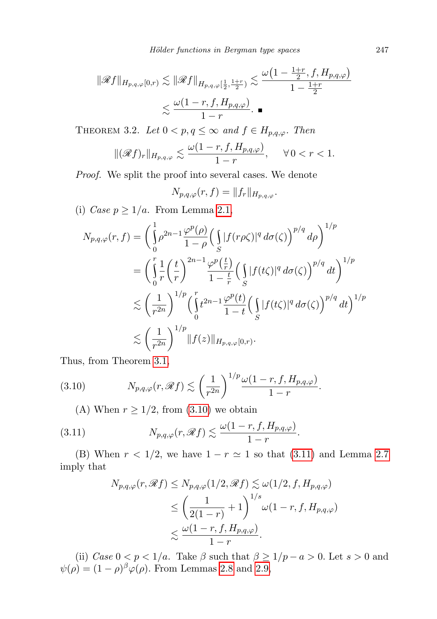$$
\|\mathscr{R}f\|_{H_{p,q,\varphi}[0,r)} \lesssim \|\mathscr{R}f\|_{H_{p,q,\varphi}[\frac{1}{2},\frac{1+r}{2})} \lesssim \frac{\omega\left(1 - \frac{1+r}{2}, f, H_{p,q,\varphi}\right)}{1 - \frac{1+r}{2}}
$$

$$
\lesssim \frac{\omega(1-r, f, H_{p,q,\varphi})}{1-r}.
$$

<span id="page-10-2"></span>THEOREM 3.2. Let  $0 < p, q \leq \infty$  and  $f \in H_{p,q,\varphi}$ . Then

$$
\|(\mathscr{R}f)_r\|_{H_{p,q,\varphi}} \lesssim \frac{\omega(1-r,f,H_{p,q,\varphi})}{1-r}, \quad \forall \, 0 < r < 1.
$$

Proof. We split the proof into several cases. We denote

$$
N_{p,q,\varphi}(r,f)=\|f_r\|_{H_{p,q,\varphi}}.
$$

(i) Case  $p \geq 1/a$ . From Lemma [2.1,](#page-2-1)

$$
N_{p,q,\varphi}(r,f) = \left(\int_0^1 \rho^{2n-1} \frac{\varphi^p(\rho)}{1-\rho} \left(\int_S |f(r\rho\zeta)|^q d\sigma(\zeta)\right)^{p/q} d\rho\right)^{1/p}
$$
  
\n
$$
= \left(\int_0^r \frac{1}{r} \left(\frac{t}{r}\right)^{2n-1} \frac{\varphi^p\left(\frac{t}{r}\right)}{1-\frac{t}{r}} \left(\int_S |f(t\zeta)|^q d\sigma(\zeta)\right)^{p/q} dt\right)^{1/p}
$$
  
\n
$$
\lesssim \left(\frac{1}{r^{2n}}\right)^{1/p} \left(\int_0^r t^{2n-1} \frac{\varphi^p(t)}{1-t} \left(\int_S |f(t\zeta)|^q d\sigma(\zeta)\right)^{p/q} dt\right)^{1/p}
$$
  
\n
$$
\lesssim \left(\frac{1}{r^{2n}}\right)^{1/p} \|f(z)\|_{H_{p,q,\varphi}[0,r)}.
$$

Thus, from Theorem [3.1,](#page-5-0)

(3.10) 
$$
N_{p,q,\varphi}(r,\mathscr{R}f) \lesssim \left(\frac{1}{r^{2n}}\right)^{1/p} \frac{\omega(1-r,f,H_{p,q,\varphi})}{1-r}.
$$

<span id="page-10-0"></span>(A) When  $r \geq 1/2$ , from [\(3.10\)](#page-10-0) we obtain

(3.11) 
$$
N_{p,q,\varphi}(r,\mathscr{R}f) \lesssim \frac{\omega(1-r,f,H_{p,q,\varphi})}{1-r}.
$$

(B) When  $r < 1/2$ , we have  $1 - r \simeq 1$  so that [\(3.11\)](#page-10-1) and Lemma [2.7](#page-4-2) imply that

<span id="page-10-1"></span>
$$
N_{p,q,\varphi}(r,\mathscr{R}f) \leq N_{p,q,\varphi}(1/2,\mathscr{R}f) \lesssim \omega(1/2,f,H_{p,q,\varphi})
$$
  
\n
$$
\leq \left(\frac{1}{2(1-r)}+1\right)^{1/s} \omega(1-r,f,H_{p,q,\varphi})
$$
  
\n
$$
\lesssim \frac{\omega(1-r,f,H_{p,q,\varphi})}{1-r}.
$$

(ii) Case  $0 < p < 1/a$ . Take  $\beta$  such that  $\beta \geq 1/p - a > 0$ . Let  $s > 0$  and  $\psi(\rho) = (1 - \rho)^{\beta} \varphi(\rho)$ . From Lemmas [2.8](#page-4-0) and [2.9,](#page-5-1)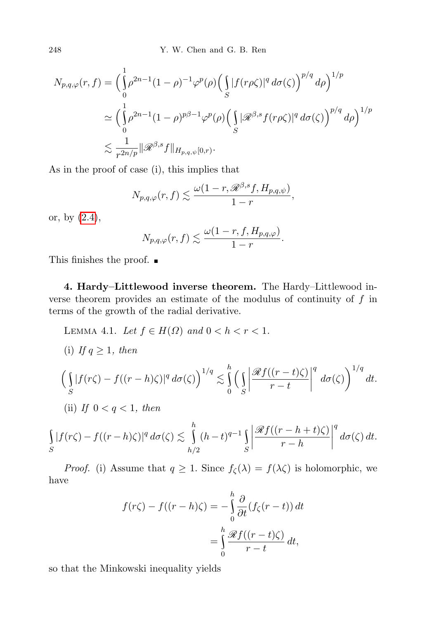248 Y. W. Chen and G. B. Ren

$$
N_{p,q,\varphi}(r,f) = \left(\int_{0}^{1} \rho^{2n-1} (1-\rho)^{-1} \varphi^{p}(\rho) \left(\int_{S} |f(r\rho\zeta)|^{q} d\sigma(\zeta)\right)^{p/q} d\rho\right)^{1/p}
$$
  

$$
\simeq \left(\int_{0}^{1} \rho^{2n-1} (1-\rho)^{p\beta-1} \varphi^{p}(\rho) \left(\int_{S} |\mathscr{R}^{\beta,s} f(r\rho\zeta)|^{q} d\sigma(\zeta)\right)^{p/q} d\rho\right)^{1/p}
$$
  

$$
\lesssim \frac{1}{r^{2n/p}} \|\mathscr{R}^{\beta,s} f\|_{H_{p,q,\psi}[0,r)}.
$$

As in the proof of case (i), this implies that

$$
N_{p,q,\varphi}(r,f) \lesssim \frac{\omega(1-r, \mathscr{R}^{\beta,s}f, H_{p,q,\psi})}{1-r},
$$

or, by [\(2.4\)](#page-5-2),

$$
N_{p,q,\varphi}(r,f) \lesssim \frac{\omega(1-r,f,H_{p,q,\varphi})}{1-r}.
$$

This finishes the proof.

4. Hardy–Littlewood inverse theorem. The Hardy–Littlewood inverse theorem provides an estimate of the modulus of continuity of  $f$  in terms of the growth of the radial derivative.

<span id="page-11-0"></span>LEMMA 4.1. Let  $f \in H(\Omega)$  and  $0 < h < r < 1$ . (i) If  $q \geq 1$ , then  $\int$ S  $|f(r\zeta)-f((r-h)\zeta)|^q d\sigma(\zeta)\Big)^{1/q} \lesssim$ h<br>\ 0  $\int$ S  $\begin{array}{c} \begin{array}{c} \begin{array}{c} \end{array} \\ \begin{array}{c} \end{array} \end{array} \end{array}$  $\mathscr{R}f((r-t)\zeta)$  $r - t$  $\begin{array}{c} \begin{array}{c} \begin{array}{c} \end{array} \\ \begin{array}{c} \end{array} \end{array} \end{array}$  $\boldsymbol{q}$  $d\sigma(\zeta)\bigg)^{1/q} dt.$ (ii) If  $0 < q < 1$ , then h

$$
\int_{S} |f(r\zeta) - f((r-h)\zeta)|^q d\sigma(\zeta) \lesssim \int_{h/2}^{h} (h-t)^{q-1} \int_{S} \left| \frac{\mathscr{R}f((r-h+t)\zeta)}{r-h} \right|^q d\sigma(\zeta) dt.
$$

*Proof.* (i) Assume that  $q \geq 1$ . Since  $f_{\zeta}(\lambda) = f(\lambda \zeta)$  is holomorphic, we have

$$
f(r\zeta) - f((r-h)\zeta) = -\int_{0}^{h} \frac{\partial}{\partial t} (f_{\zeta}(r-t)) dt
$$

$$
= \int_{0}^{h} \frac{\mathcal{R}f((r-t)\zeta)}{r-t} dt,
$$

so that the Minkowski inequality yields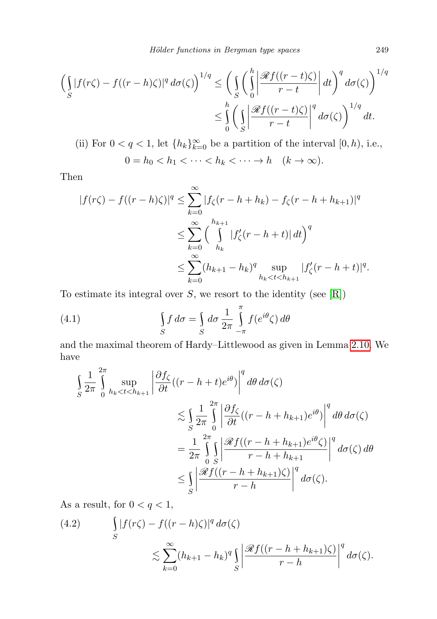$$
\left(\int_{S} |f(r\zeta) - f((r-h)\zeta)|^q d\sigma(\zeta)\right)^{1/q} \le \left(\int_{S} \left(\int_{0}^{h} \left|\frac{\mathscr{R}f((r-t)\zeta)}{r-t}\right| dt\right)^q d\sigma(\zeta)\right)^{1/q}
$$

$$
\le \int_{0}^{h} \left(\int_{S} \left|\frac{\mathscr{R}f((r-t)\zeta)}{r-t}\right|^q d\sigma(\zeta)\right)^{1/q} dt.
$$

(ii) For  $0 < q < 1$ , let  $\{h_k\}_{k=0}^{\infty}$  be a partition of the interval  $[0, h)$ , i.e.,  $0 = h_0 < h_1 < \cdots < h_k < \cdots \to h \quad (k \to \infty).$ 

Then

$$
|f(r\zeta) - f((r-h)\zeta)|^q \le \sum_{k=0}^{\infty} |f_{\zeta}(r-h+h_k) - f_{\zeta}(r-h+h_{k+1})|^q
$$
  

$$
\le \sum_{k=0}^{\infty} \left(\int\limits_{h_k}^{h_{k+1}} |f'_{\zeta}(r-h+t)| dt\right)^q
$$
  

$$
\le \sum_{k=0}^{\infty} (h_{k+1}-h_k)^q \sup_{h_k < t < h_{k+1}} |f'_{\zeta}(r-h+t)|^q.
$$

To estimate its integral over  $S$ , we resort to the identity (see  $[R]$ )

<span id="page-12-1"></span>(4.1) 
$$
\int_{S} f d\sigma = \int_{S} d\sigma \frac{1}{2\pi} \int_{-\pi}^{\pi} f(e^{i\theta} \zeta) d\theta
$$

and the maximal theorem of Hardy–Littlewood as given in Lemma [2.10.](#page-5-3) We have

$$
\int_{S} \frac{1}{2\pi} \int_{0}^{2\pi} \sup_{h_{k} < t < h_{k+1}} \left| \frac{\partial f_{\zeta}}{\partial t} \left( (r - h + t)e^{i\theta} \right) \right|^{q} d\theta d\sigma(\zeta)
$$
\n
$$
\lesssim \int_{S} \frac{1}{2\pi} \int_{0}^{2\pi} \left| \frac{\partial f_{\zeta}}{\partial t} \left( (r - h + h_{k+1})e^{i\theta} \right) \right|^{q} d\theta d\sigma(\zeta)
$$
\n
$$
= \frac{1}{2\pi} \int_{0}^{2\pi} \int_{S} \left| \frac{\mathcal{R}f \left( (r - h + h_{k+1})e^{i\theta} \zeta \right)}{r - h + h_{k+1}} \right|^{q} d\sigma(\zeta) d\theta
$$
\n
$$
\leq \int_{S} \left| \frac{\mathcal{R}f \left( (r - h + h_{k+1})\zeta \right)}{r - h} \right|^{q} d\sigma(\zeta).
$$

As a result, for  $0 < q < 1$ ,

<span id="page-12-0"></span>(4.2) 
$$
\int_{S} |f(r\zeta) - f((r-h)\zeta)|^q d\sigma(\zeta)
$$

$$
\lesssim \sum_{k=0}^{\infty} (h_{k+1} - h_k)^q \int_{S} \left| \frac{\mathscr{R}f((r-h+h_{k+1})\zeta)}{r-h} \right|^q d\sigma(\zeta).
$$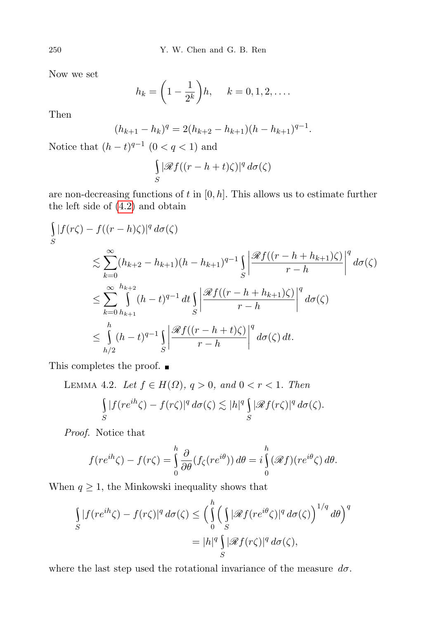Now we set

$$
h_k = \left(1 - \frac{1}{2^k}\right)h, \quad k = 0, 1, 2, \dots
$$

Then

$$
(h_{k+1} - h_k)^q = 2(h_{k+2} - h_{k+1})(h - h_{k+1})^{q-1}.
$$

Notice that  $(h-t)^{q-1}$   $(0 < q < 1)$  and

$$
\int_{S} |\mathcal{R}f((r-h+t)\zeta)|^q d\sigma(\zeta)
$$

are non-decreasing functions of  $t$  in  $[0, h]$ . This allows us to estimate further the left side of [\(4.2\)](#page-12-0) and obtain

$$
\int_{S} |f(r\zeta) - f((r-h)\zeta)|^{q} d\sigma(\zeta)
$$
\n
$$
\lesssim \sum_{k=0}^{\infty} (h_{k+2} - h_{k+1})(h - h_{k+1})^{q-1} \int_{S} \left| \frac{\mathcal{R}f((r-h+h_{k+1})\zeta)}{r-h} \right|^{q} d\sigma(\zeta)
$$
\n
$$
\leq \sum_{k=0}^{\infty} \int_{h_{k+1}}^{h_{k+2}} (h - t)^{q-1} dt \int_{S} \left| \frac{\mathcal{R}f((r-h+h_{k+1})\zeta)}{r-h} \right|^{q} d\sigma(\zeta)
$$
\n
$$
\leq \int_{h/2}^{h} (h - t)^{q-1} \int_{S} \left| \frac{\mathcal{R}f((r-h+t)\zeta)}{r-h} \right|^{q} d\sigma(\zeta) dt.
$$

<span id="page-13-0"></span>This completes the proof.  $\blacksquare$ 

LEMMA 4.2. Let 
$$
f \in H(\Omega)
$$
,  $q > 0$ , and  $0 < r < 1$ . Then  
\n
$$
\int_S |f(re^{ih}\zeta) - f(r\zeta)|^q d\sigma(\zeta) \lesssim |h|^q \int_S |\mathcal{R}f(r\zeta)|^q d\sigma(\zeta).
$$

Proof. Notice that

$$
f(re^{ih}\zeta) - f(r\zeta) = \int_{0}^{h} \frac{\partial}{\partial \theta} (f_{\zeta}(re^{i\theta})) d\theta = i \int_{0}^{h} (\mathscr{R}f)(re^{i\theta}\zeta) d\theta.
$$

When  $q\geq 1,$  the Minkowski inequality shows that

$$
\int_{S} |f(re^{ih}\zeta) - f(r\zeta)|^{q} d\sigma(\zeta) \leq \left(\int_{0}^{h} \left(\int_{S} |\mathcal{R}f(re^{i\theta}\zeta)|^{q} d\sigma(\zeta)\right)^{1/q} d\theta\right)^{q}
$$

$$
= |h|^{q} \int_{S} |\mathcal{R}f(r\zeta)|^{q} d\sigma(\zeta),
$$

where the last step used the rotational invariance of the measure  $d\sigma$ .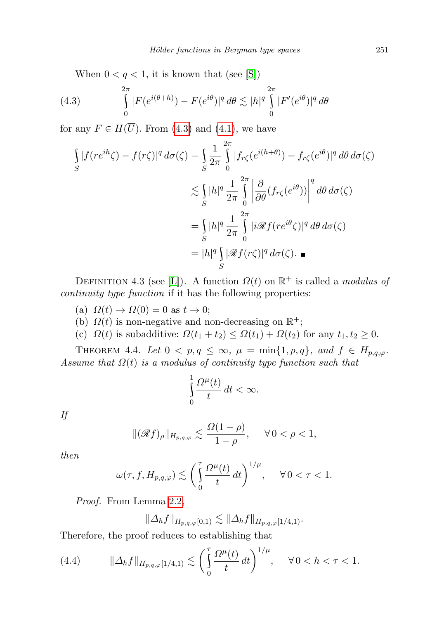<span id="page-14-0"></span>When  $0 < q < 1$ , it is known that (see [\[S\]](#page-21-5))

(4.3) 
$$
\int_{0}^{2\pi} |F(e^{i(\theta+h)}) - F(e^{i\theta})|^q d\theta \lesssim |h|^q \int_{0}^{2\pi} |F'(e^{i\theta})|^q d\theta
$$

for any  $F \in H(\overline{U})$ . From [\(4.3\)](#page-14-0) and [\(4.1\)](#page-12-1), we have

$$
\int_{S} |f(re^{ih}\zeta) - f(r\zeta)|^{q} d\sigma(\zeta) = \int_{S} \frac{1}{2\pi} \int_{0}^{2\pi} |f_{r\zeta}(e^{i(h+\theta)}) - f_{r\zeta}(e^{i\theta})|^{q} d\theta d\sigma(\zeta)
$$
\n
$$
\lesssim \int_{S} |h|^{q} \frac{1}{2\pi} \int_{0}^{2\pi} \left| \frac{\partial}{\partial \theta} (f_{r\zeta}(e^{i\theta})) \right|^{q} d\theta d\sigma(\zeta)
$$
\n
$$
= \int_{S} |h|^{q} \frac{1}{2\pi} \int_{0}^{2\pi} |i \mathcal{R} f(re^{i\theta}\zeta)|^{q} d\theta d\sigma(\zeta)
$$
\n
$$
= |h|^{q} \int_{S} |\mathcal{R} f(r\zeta)|^{q} d\sigma(\zeta).
$$

DEFINITION 4.3 (see [\[L\]](#page-21-6)). A function  $\Omega(t)$  on  $\mathbb{R}^+$  is called a *modulus of* continuity type function if it has the following properties:

(a)  $\Omega(t) \to \Omega(0) = 0$  as  $t \to 0$ ;

- (b)  $\Omega(t)$  is non-negative and non-decreasing on  $\mathbb{R}^+$ ;
- (c)  $\Omega(t)$  is subadditive:  $\Omega(t_1 + t_2) \leq \Omega(t_1) + \Omega(t_2)$  for any  $t_1, t_2 \geq 0$ .

<span id="page-14-2"></span>THEOREM 4.4. Let  $0 < p, q \le \infty$ ,  $\mu = \min\{1, p, q\}$ , and  $f \in H_{p,q,\varphi}$ . Assume that  $\Omega(t)$  is a modulus of continuity type function such that

$$
\int_{0}^{1} \frac{\Omega^{\mu}(t)}{t} dt < \infty.
$$

If

$$
\|(\mathscr{R}f)_{\rho}\|_{H_{p,q,\varphi}} \lesssim \frac{\Omega(1-\rho)}{1-\rho}, \quad \forall 0 < \rho < 1,
$$

then

$$
\omega(\tau, f, H_{p,q,\varphi}) \lesssim \left(\int_{0}^{\tau} \frac{\Omega^{\mu}(t)}{t} dt\right)^{1/\mu}, \quad \forall \, 0 < \tau < 1.
$$

Proof. From Lemma [2.2,](#page-2-0)

$$
\|\Delta_h f\|_{H_{p,q,\varphi}[0,1)} \lesssim \|\Delta_h f\|_{H_{p,q,\varphi}[1/4,1)}.
$$

Therefore, the proof reduces to establishing that

<span id="page-14-1"></span>(4.4) 
$$
\|\Delta_h f\|_{H_{p,q,\varphi}[1/4,1)} \lesssim \left(\int_0^{\tau} \frac{\Omega^{\mu}(t)}{t} dt\right)^{1/\mu}, \quad \forall 0 < h < \tau < 1.
$$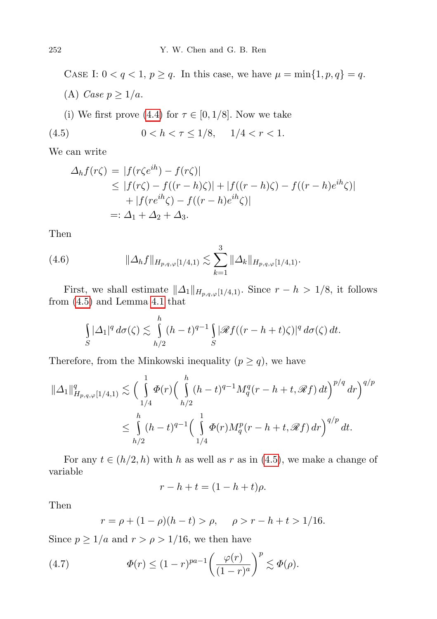CASE I:  $0 < q < 1$ ,  $p \ge q$ . In this case, we have  $\mu = \min\{1, p, q\} = q$ . (A) Case  $p \geq 1/a$ .

(i) We first prove [\(4.4\)](#page-14-1) for  $\tau \in [0, 1/8]$ . Now we take

(4.5) 
$$
0 < h < \tau \le 1/8, \quad 1/4 < r < 1.
$$

We can write

<span id="page-15-0"></span>
$$
\Delta_h f(r\zeta) = |f(r\zeta e^{ih}) - f(r\zeta)|
$$
  
\n
$$
\leq |f(r\zeta) - f((r-h)\zeta)| + |f((r-h)\zeta) - f((r-h)e^{ih}\zeta)|
$$
  
\n
$$
+ |f(re^{ih}\zeta) - f((r-h)e^{ih}\zeta)|
$$
  
\n
$$
=:\Delta_1 + \Delta_2 + \Delta_3.
$$

Then

(4.6) 
$$
\|\Delta_h f\|_{H_{p,q,\varphi}[1/4,1)} \lesssim \sum_{k=1}^3 \|\Delta_k\|_{H_{p,q,\varphi}[1/4,1)}.
$$

First, we shall estimate  $\|\Delta_1\|_{H_{p,q,\varphi}[1/4,1)}$ . Since  $r - h > 1/8$ , it follows from [\(4.5\)](#page-15-0) and Lemma [4.1](#page-11-0) that

$$
\int_{S} |\Delta_1|^q \, d\sigma(\zeta) \lesssim \int_{h/2}^h (h-t)^{q-1} \int_{S} |\mathscr{R}f((r-h+t)\zeta)|^q \, d\sigma(\zeta) \, dt.
$$

Therefore, from the Minkowski inequality  $(p \geq q)$ , we have

$$
\|\Delta_1\|_{H_{p,q,\varphi}[1/4,1)}^q \lesssim \Big(\int_{1/4}^1 \Phi(r) \Big(\int_{h/2}^h (h-t)^{q-1} M_q^q(r-h+t, \mathcal{R}f) dt\Big)^{p/q} dr\Big)^{q/p}
$$
  

$$
\leq \int_{h/2}^h (h-t)^{q-1} \Big(\int_{1/4}^1 \Phi(r) M_q^p(r-h+t, \mathcal{R}f) dr\Big)^{q/p} dt.
$$

For any  $t \in (h/2, h)$  with h as well as r as in [\(4.5\)](#page-15-0), we make a change of variable

$$
r - h + t = (1 - h + t)\rho.
$$

Then

<span id="page-15-1"></span>
$$
r = \rho + (1 - \rho)(h - t) > \rho, \quad \rho > r - h + t > 1/16.
$$

Since  $p \geq 1/a$  and  $r > \rho > 1/16$ , we then have

(4.7) 
$$
\Phi(r) \le (1-r)^{pa-1} \left(\frac{\varphi(r)}{(1-r)^a}\right)^p \lesssim \Phi(\rho).
$$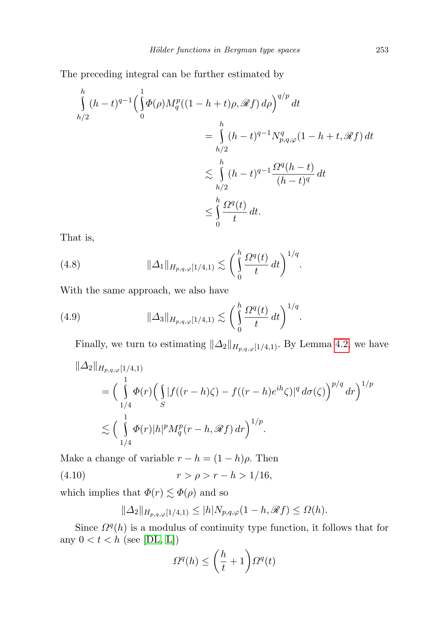The preceding integral can be further estimated by

$$
\int_{h/2}^{h} (h-t)^{q-1} \left( \int_{0}^{1} \Phi(\rho) M_{q}^{p} ((1-h+t)\rho, \mathscr{R}f) d\rho \right)^{q/p} dt
$$
\n
$$
= \int_{h/2}^{h} (h-t)^{q-1} N_{p,q,\varphi}^{q} (1-h+t, \mathscr{R}f) dt
$$
\n
$$
\lesssim \int_{h/2}^{h} (h-t)^{q-1} \frac{\Omega^{q} (h-t)}{(h-t)^{q}} dt
$$
\n
$$
\leq \int_{0}^{h} \frac{\Omega^{q}(t)}{t} dt.
$$

That is,

<span id="page-16-0"></span>(4.8) 
$$
\|\Delta_1\|_{H_{p,q,\varphi}[1/4,1)} \lesssim \left(\int_0^h \frac{\Omega^q(t)}{t} dt\right)^{1/q}.
$$

With the same approach, we also have

(4.9) 
$$
\|\Delta_3\|_{H_{p,q,\varphi}[1/4,1)} \lesssim \left(\int_0^h \frac{\Omega^q(t)}{t} dt\right)^{1/q}.
$$

Finally, we turn to estimating  $\|\Delta_2\|_{H_{p,q,\varphi}[1/4,1)}$ . By Lemma [4.2,](#page-13-0) we have

$$
\| \Delta_2 \|_{H_{p,q,\varphi}[1/4,1)} \n= \Big( \int_{1/4}^1 \Phi(r) \Big( \int_{S} |f((r-h)\zeta) - f((r-h)e^{ih}\zeta)|^q d\sigma(\zeta) \Big)^{p/q} dr \Big)^{1/p} \n\lesssim \Big( \int_{1/4}^1 \Phi(r)|h|^p M_q^p(r-h,\mathcal{R}f) dr \Big)^{1/p}.
$$

Make a change of variable  $r - h = (1 - h)\rho$ . Then

(4.10)  $r > \rho > r - h > 1/16$ ,

which implies that  $\Phi(r) \lesssim \Phi(\rho)$  and so

<span id="page-16-1"></span>
$$
\|\Delta_2\|_{H_{p,q,\varphi}[1/4,1)} \le |h| N_{p,q,\varphi}(1-h,\mathscr{R}f) \le \Omega(h).
$$

Since  $\Omega^{q}(h)$  is a modulus of continuity type function, it follows that for any  $0 < t < h$  (see [\[DL,](#page-20-5) [L\]](#page-21-6))

$$
\Omega^q(h) \le \left(\frac{h}{t} + 1\right) \Omega^q(t)
$$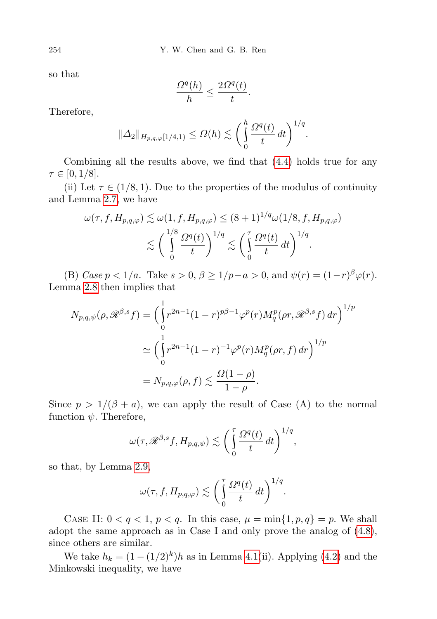so that

$$
\frac{\Omega^{q}(h)}{h}\leq \frac{2\Omega^{q}(t)}{t}.
$$

Therefore,

$$
\|\Delta_2\|_{H_{p,q,\varphi}[1/4,1)} \leq \Omega(h) \lesssim \bigg(\int_0^h \frac{\Omega^q(t)}{t} dt\bigg)^{1/q}.
$$

Combining all the results above, we find that [\(4.4\)](#page-14-1) holds true for any  $\tau \in [0, 1/8].$ 

(ii) Let  $\tau \in (1/8, 1)$ . Due to the properties of the modulus of continuity and Lemma [2.7,](#page-4-2) we have

$$
\omega(\tau, f, H_{p,q,\varphi}) \lesssim \omega(1, f, H_{p,q,\varphi}) \le (8+1)^{1/q} \omega(1/8, f, H_{p,q,\varphi})
$$

$$
\lesssim \left(\int_0^{1/8} \frac{\Omega^q(t)}{t}\right)^{1/q} \lesssim \left(\int_0^{\tau} \frac{\Omega^q(t)}{t} dt\right)^{1/q}.
$$

(B) Case  $p < 1/a$ . Take  $s > 0$ ,  $\beta \ge 1/p - a > 0$ , and  $\psi(r) = (1 - r)^{\beta} \varphi(r)$ . Lemma [2.8](#page-4-0) then implies that

$$
N_{p,q,\psi}(\rho, \mathcal{R}^{\beta,s}f) = \left(\int_0^1 r^{2n-1}(1-r)^{p\beta-1}\varphi^p(r)M_q^p(\rho r, \mathcal{R}^{\beta,s}f) dr\right)^{1/p}
$$
  

$$
\simeq \left(\int_0^1 r^{2n-1}(1-r)^{-1}\varphi^p(r)M_q^p(\rho r, f) dr\right)^{1/p}
$$
  

$$
= N_{p,q,\varphi}(\rho, f) \lesssim \frac{\Omega(1-\rho)}{1-\rho}.
$$

Since  $p > 1/(\beta + a)$ , we can apply the result of Case (A) to the normal function  $\psi$ . Therefore,

$$
\omega(\tau, \mathscr{R}^{\beta,s}f, H_{p,q,\psi}) \lesssim \left(\int\limits_0^\tau \frac{\Omega^q(t)}{t}\,dt\right)^{1/q},
$$

so that, by Lemma [2.9,](#page-5-1)

$$
\omega(\tau, f, H_{p,q,\varphi}) \lesssim \bigg(\int_0^{\tau} \frac{\Omega^q(t)}{t} dt\bigg)^{1/q}.
$$

CASE II:  $0 < q < 1$ ,  $p < q$ . In this case,  $\mu = \min\{1, p, q\} = p$ . We shall adopt the same approach as in Case I and only prove the analog of [\(4.8\)](#page-16-0), since others are similar.

We take  $h_k = (1 - (1/2)^k)h$  as in Lemma [4.1\(](#page-11-0)ii). Applying [\(4.2\)](#page-12-0) and the Minkowski inequality, we have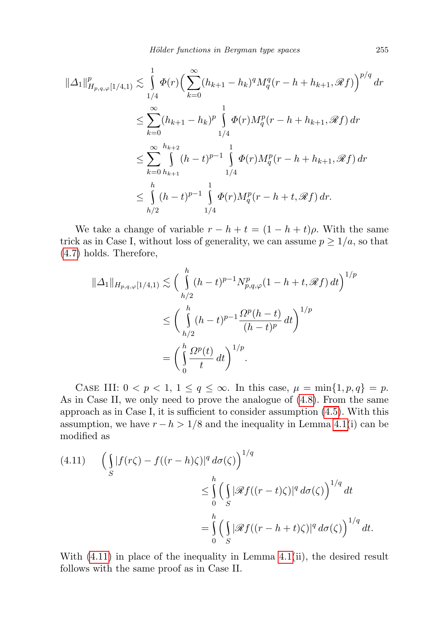Hölder functions in Bergman type spaces 255

$$
\begin{split} \|\Delta_{1}\|^{p}_{H_{p,q,\varphi}[1/4,1)} &\lesssim \int\limits_{1/4}^{1} \varPhi(r) \Big( \sum\limits_{k=0}^{\infty} (h_{k+1} - h_{k})^{q} M_{q}^{q}(r-h+h_{k+1}, \mathscr{R}f) \Big)^{p/q} \, dr \\ &\leq \sum\limits_{k=0}^{\infty} (h_{k+1} - h_{k})^{p} \int\limits_{1/4}^{1} \varPhi(r) M_{q}^{p}(r-h+h_{k+1}, \mathscr{R}f) \, dr \\ &\leq \sum\limits_{k=0}^{\infty} \int\limits_{h_{k+1}}^{h_{k+2}} (h-t)^{p-1} \int\limits_{1/4}^{1} \varPhi(r) M_{q}^{p}(r-h+h_{k+1}, \mathscr{R}f) \, dr \\ &\leq \int\limits_{h/2}^{h} (h-t)^{p-1} \int\limits_{1/4}^{1} \varPhi(r) M_{q}^{p}(r-h+t, \mathscr{R}f) \, dr. \end{split}
$$

We take a change of variable  $r - h + t = (1 - h + t)\rho$ . With the same trick as in Case I, without loss of generality, we can assume  $p \geq 1/a$ , so that [\(4.7\)](#page-15-1) holds. Therefore,

$$
\|\Delta_1\|_{H_{p,q,\varphi}[1/4,1)} \lesssim \left(\int\limits_{h/2}^h (h-t)^{p-1} N_{p,q,\varphi}^p (1-h+t, \mathcal{R}f) dt\right)^{1/p}
$$
  

$$
\leq \left(\int\limits_{h/2}^h (h-t)^{p-1} \frac{\Omega^p (h-t)}{(h-t)^p} dt\right)^{1/p}
$$
  

$$
= \left(\int\limits_0^h \frac{\Omega^p(t)}{t} dt\right)^{1/p}.
$$

CASE III:  $0 < p < 1$ ,  $1 \le q \le \infty$ . In this case,  $\mu = \min\{1, p, q\} = p$ . As in Case II, we only need to prove the analogue of [\(4.8\)](#page-16-0). From the same approach as in Case I, it is sufficient to consider assumption [\(4.5\)](#page-15-0). With this assumption, we have  $r - h > 1/8$  and the inequality in Lemma [4.1\(](#page-11-0)i) can be modified as

<span id="page-18-0"></span>
$$
(4.11) \qquad \left(\int\limits_{S} |f(r\zeta) - f((r-h)\zeta)|^q \, d\sigma(\zeta)\right)^{1/q} \n\leq \int\limits_{0}^{h} \left(\int\limits_{S} |\mathscr{R}f((r-t)\zeta)|^q \, d\sigma(\zeta)\right)^{1/q} dt \n= \int\limits_{0}^{h} \left(\int\limits_{S} |\mathscr{R}f((r-h+t)\zeta)|^q \, d\sigma(\zeta)\right)^{1/q} dt.
$$

With  $(4.11)$  in place of the inequality in Lemma  $4.1(ii)$ , the desired result follows with the same proof as in Case II.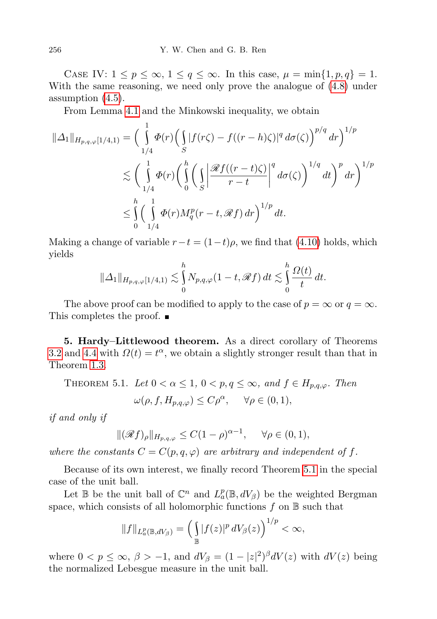CASE IV:  $1 \leq p \leq \infty$ ,  $1 \leq q \leq \infty$ . In this case,  $\mu = \min\{1, p, q\} = 1$ . With the same reasoning, we need only prove the analogue of [\(4.8\)](#page-16-0) under assumption [\(4.5\)](#page-15-0).

From Lemma [4.1](#page-11-0) and the Minkowski inequality, we obtain

$$
\|\Delta_1\|_{H_{p,q,\varphi}[1/4,1)} = \left(\int_{1/4}^1 \Phi(r) \Big(\int_S |f(r\zeta) - f((r-h)\zeta)|^q d\sigma(\zeta)\right)^{p/q} dr\right)^{1/p}
$$
  

$$
\lesssim \left(\int_{1/4}^1 \Phi(r) \Big(\int_0^h \Big(\int_S \Big|\frac{\mathscr{R}f((r-t)\zeta)}{r-t}\Big|^q d\sigma(\zeta)\Big)^{1/q} dt\right)^p dr\right)^{1/p}
$$
  

$$
\leq \int_0^h \left(\int_{1/4}^1 \Phi(r) M_q^p(r-t, \mathscr{R}f) dr\right)^{1/p} dt.
$$

Making a change of variable  $r-t = (1-t)\rho$ , we find that [\(4.10\)](#page-16-1) holds, which yields

$$
\|\Delta_1\|_{H_{p,q,\varphi}[1/4,1)} \lesssim \int_0^h N_{p,q,\varphi}(1-t,\mathscr{R}f) dt \lesssim \int_0^h \frac{\Omega(t)}{t} dt.
$$

The above proof can be modified to apply to the case of  $p = \infty$  or  $q = \infty$ . This completes the proof. ■

5. Hardy–Littlewood theorem. As a direct corollary of Theorems [3.2](#page-10-2) and [4.4](#page-14-2) with  $\Omega(t) = t^{\alpha}$ , we obtain a slightly stronger result than that in Theorem [1.3.](#page-2-2)

<span id="page-19-0"></span>THEOREM 5.1. Let 
$$
0 < \alpha \le 1
$$
,  $0 < p, q \le \infty$ , and  $f \in H_{p,q,\varphi}$ . Then  

$$
\omega(\rho, f, H_{p,q,\varphi}) \le C\rho^{\alpha}, \quad \forall \rho \in (0,1),
$$

if and only if

$$
\|(\mathscr{R}f)_{\rho}\|_{H_{p,q,\varphi}} \leq C(1-\rho)^{\alpha-1}, \quad \forall \rho \in (0,1),
$$

where the constants  $C = C(p, q, \varphi)$  are arbitrary and independent of f.

Because of its own interest, we finally record Theorem [5.1](#page-19-0) in the special case of the unit ball.

Let  $\mathbb B$  be the unit ball of  $\mathbb C^n$  and  $L^p_a(\mathbb B,dV_\beta)$  be the weighted Bergman space, which consists of all holomorphic functions  $f$  on  $\mathbb B$  such that

$$
||f||_{L^p_a(\mathbb{B},dV_\beta)} = \left(\int_{\mathbb{B}} |f(z)|^p dV_\beta(z)\right)^{1/p} < \infty,
$$

where  $0 < p \le \infty$ ,  $\beta > -1$ , and  $dV_{\beta} = (1 - |z|^2)^{\beta} dV(z)$  with  $dV(z)$  being the normalized Lebesgue measure in the unit ball.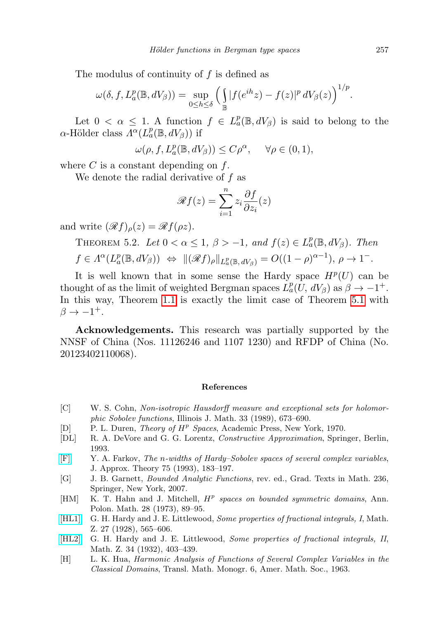The modulus of continuity of  $f$  is defined as

$$
\omega(\delta, f, L_a^p(\mathbb{B}, dV_\beta)) = \sup_{0 \le h \le \delta} \left( \int_{\mathbb{B}} |f(e^{ih}z) - f(z)|^p \, dV_\beta(z) \right)^{1/p}.
$$

Let  $0 < \alpha \leq 1$ . A function  $f \in L^p_\alpha(\mathbb{B}, dV_\beta)$  is said to belong to the  $\alpha$ -Hölder class  $\Lambda^{\alpha}(L^p_a(\mathbb{B}, dV_{\beta}))$  if

$$
\omega(\rho, f, L_a^p(\mathbb{B}, dV_\beta)) \le C\rho^\alpha, \quad \forall \rho \in (0, 1),
$$

where  $C$  is a constant depending on  $f$ .

We denote the radial derivative of  $f$  as

$$
\mathscr{R}f(z) = \sum_{i=1}^{n} z_i \frac{\partial f}{\partial z_i}(z)
$$

and write  $(\mathscr{R}f)_{\rho}(z) = \mathscr{R}f(\rho z)$ .

THEOREM 5.2. Let  $0 < \alpha \leq 1$ ,  $\beta > -1$ , and  $f(z) \in L^p_\alpha(\mathbb{B}, dV_\beta)$ . Then  $f \in \Lambda^{\alpha}(L^p_a(\mathbb{B}, dV_{\beta})) \Leftrightarrow \|(\mathscr{R}f)_{\rho}\|_{L^p_a(\mathbb{B}, dV_{\beta})} = O((1-\rho)^{\alpha-1}), \rho \to 1^-$ 

It is well known that in some sense the Hardy space  $H^p(U)$  can be thought of as the limit of weighted Bergman spaces  $L_a^p(U, dV_\beta)$  as  $\beta \to -1^+$ . In this way, Theorem [1.1](#page-0-0) is exactly the limit case of Theorem [5.1](#page-19-0) with  $\beta \rightarrow -1^+$ .

Acknowledgements. This research was partially supported by the NNSF of China (Nos. 11126246 and 1107 1230) and RFDP of China (No. 20123402110068).

## References

- [C] W. S. Cohn, Non-isotropic Hausdorff measure and exceptional sets for holomorphic Sobolev functions, Illinois J. Math. 33 (1989), 673–690.
- <span id="page-20-4"></span>[D] P. L. Duren, *Theory of*  $H^p$  *Spaces*, Academic Press, New York, 1970.
- <span id="page-20-5"></span>[DL] R. A. DeVore and G. G. Lorentz, Constructive Approximation, Springer, Berlin, 1993.
- [\[F\]](http://dx.doi.org/10.1006/jath.1993.1098) Y. A. Farkov, The n-widths of Hardy–Sobolev spaces of several complex variables, J. Approx. Theory 75 (1993), 183–197.
- <span id="page-20-1"></span>[G] J. B. Garnett, Bounded Analytic Functions, rev. ed., Grad. Texts in Math. 236, Springer, New York, 2007.
- <span id="page-20-3"></span>[HM] K. T. Hahn and J. Mitchell,  $H^p$  spaces on bounded symmetric domains, Ann. Polon. Math. 28 (1973), 89–95.
- [\[HL1\]](http://dx.doi.org/10.1007/BF01171116) G. H. Hardy and J. E. Littlewood, *Some properties of fractional integrals, I*, Math. Z. 27 (1928), 565–606.
- <span id="page-20-0"></span>[\[HL2\]](http://dx.doi.org/10.1007/BF01180596) G. H. Hardy and J. E. Littlewood, Some properties of fractional integrals, II, Math. Z. 34 (1932), 403–439.
- <span id="page-20-2"></span>[H] L. K. Hua, Harmonic Analysis of Functions of Several Complex Variables in the Classical Domains, Transl. Math. Monogr. 6, Amer. Math. Soc., 1963.